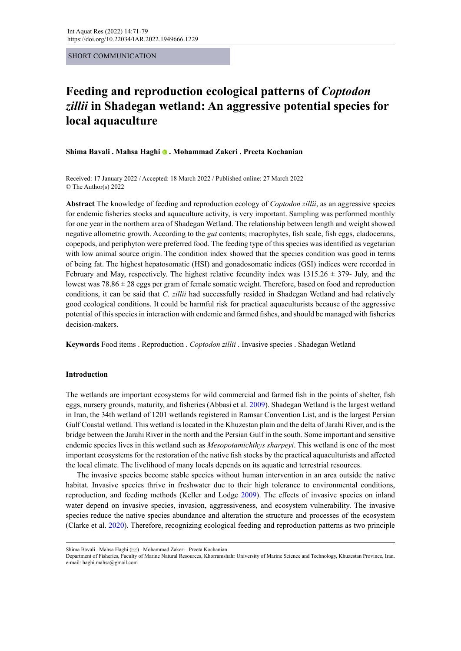SHORT COMMUNICATION

# **Feeding and reproduction ecological patterns of** *Coptodon zillii* **in Shadegan wetland: An aggressive potential species for local aquaculture**

**Shima Bavali . Mahsa Haghi. Mohammad Zakeri . Preeta Kochanian**

Received: 17 January 2022 / Accepted: 18 March 2022 / Published online: 27 March 2022 © The Author(s) 2022

**Abstract** The knowledge of feeding and reproduction ecology of *Coptodon zillii*, as an aggressive species for endemic fisheries stocks and aquaculture activity, is very important. Sampling was performed monthly for one year in the northern area of Shadegan Wetland. The relationship between length and weight showed negative allometric growth. According to the *gut* contents; macrophytes, fish scale, fish eggs, cladocerans, copepods, and periphyton were preferred food. The feeding type of this species was identified as vegetarian with low animal source origin. The condition index showed that the species condition was good in terms of being fat. The highest hepatosomatic (HSI) and gonadosomatic indices (GSI) indices were recorded in February and May, respectively. The highest relative fecundity index was  $1315.26 \pm 379$ - July, and the lowest was  $78.86 \pm 28$  eggs per gram of female somatic weight. Therefore, based on food and reproduction conditions, it can be said that *C. zillii* had successfully resided in Shadegan Wetland and had relatively good ecological conditions. It could be harmful risk for practical aquaculturists because of the aggressive potential of this species in interaction with endemic and farmed fishes, and should be managed with fisheries decision-makers.

**Keywords** Food items . Reproduction . *Coptodon zillii .* Invasive species . Shadegan Wetland

## **Introduction**

The wetlands are important ecosystems for wild commercial and farmed fish in the points of shelter, fish eggs, nursery grounds, maturity, and fisheries (Abbasi et al. 2009). Shadegan Wetland is the largest wetland in Iran, the 34th wetland of 1201 wetlands registered in Ramsar Convention List, and is the largest Persian Gulf Coastal wetland. This wetland is located in the Khuzestan plain and the delta of Jarahi River, and is the bridge between the Jarahi River in the north and the Persian Gulf in the south. Some important and sensitive endemic species lives in this wetland such as *Mesopotamichthys sharpeyi*. This wetland is one of the most important ecosystems for the restoration of the native fish stocks by the practical aquaculturists and affected the local climate. The livelihood of many locals depends on its aquatic and terrestrial resources.

The invasive species become stable species without human intervention in an area outside the native habitat. Invasive species thrive in freshwater due to their high tolerance to environmental conditions, reproduction, and feeding methods (Keller and Lodge 2009). The effects of invasive species on inland water depend on invasive species, invasion, aggressiveness, and ecosystem vulnerability. The invasive species reduce the native species abundance and alteration the structure and processes of the ecosystem (Clarke et al. 2020). Therefore, recognizing ecological feeding and reproduction patterns as two principle

Shima Bavali . Mahsa Haghi [\(](mailto:haghi.mahsa%40gmail.com?subject=) ) . Mohammad Zakeri . Preeta Kochanian

Department of Fisheries, Faculty of Marine Natural Resources, Khorramshahr University of Marine Science and Technology, Khuzestan Province, Iran. e-mail: haghi.mahsa@gmail.com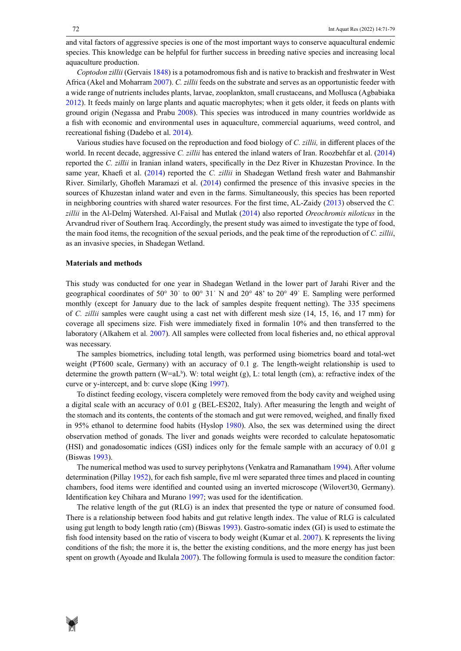and vital factors of aggressive species is one of the most important ways to conserve aquacultural endemic species. This knowledge can be helpful for further success in breeding native species and increasing local aquaculture production.

*Coptodon zillii* (Gervais 1848) is a potamodromous fish and is native to brackish and freshwater in West Africa (Akel and Moharram 2007). *C. zillii* feeds on the substrate and serves as an opportunistic feeder with a wide range of nutrients includes plants, larvae, zooplankton, small crustaceans, and Mollusca (Agbabiaka 2012). It feeds mainly on large plants and aquatic macrophytes; when it gets older, it feeds on plants with ground origin (Negassa and Prabu 2008). This species was introduced in many countries worldwide as a fish with economic and environmental uses in aquaculture, commercial aquariums, weed control, and recreational fishing (Dadebo et al. 2014).

Various studies have focused on the reproduction and food biology of *C. zillii,* in different places of the world. In recent decade, aggressive *C. zillii* has entered the inland waters of Iran. Roozbehfar et al. (2014) reported the *C. zillii* in Iranian inland waters, specifically in the Dez River in Khuzestan Province. In the same year, Khaefi et al. (2014) reported the *C. zillii* in Shadegan Wetland fresh water and Bahmanshir River. Similarly, Ghofleh Maramazi et al. (2014) confirmed the presence of this invasive species in the sources of Khuzestan inland water and even in the farms. Simultaneously, this species has been reported in neighboring countries with shared water resources. For the first time, AL-Zaidy (2013) observed the *C. zillii* in the Al-Delmj Watershed. Al-Faisal and Mutlak (2014) also reported *Oreochromis niloticus* in the Arvandrud river of Southern Iraq. Accordingly, the present study was aimed to investigate the type of food, the main food items, the recognition of the sexual periods, and the peak time of the reproduction of *C. zillii*, as an invasive species, in Shadegan Wetland.

#### **Materials and methods**

This study was conducted for one year in Shadegan Wetland in the lower part of Jarahi River and the geographical coordinates of 50° 30ˈ to 00° 31ˈ N and 20° 48' to 20° 49ˈ E. Sampling were performed monthly (except for January due to the lack of samples despite frequent netting). The 335 specimens of *C. zillii* samples were caught using a cast net with different mesh size (14, 15, 16, and 17 mm) for coverage all specimens size. Fish were immediately fixed in formalin 10% and then transferred to the laboratory (Alkahem et al*.* 2007). All samples were collected from local fisheries and, no ethical approval was necessary.

The samples biometrics, including total length, was performed using biometrics board and total-wet weight (PT600 scale, Germany) with an accuracy of 0.1 g. The length-weight relationship is used to determine the growth pattern  $(W=aL<sup>b</sup>)$ . W: total weight  $(g)$ , L: total length (cm), a: refractive index of the curve or y-intercept, and b: curve slope (King 1997).

To distinct feeding ecology, viscera completely were removed from the body cavity and weighed using a digital scale with an accuracy of 0.01 g (BEL-ES202, Italy). After measuring the length and weight of the stomach and its contents, the contents of the stomach and gut were removed, weighed, and finally fixed in 95% ethanol to determine food habits (Hyslop 1980). Also, the sex was determined using the direct observation method of gonads. The liver and gonads weights were recorded to calculate hepatosomatic (HSI) and gonadosomatic indices (GSI) indices only for the female sample with an accuracy of 0.01 g (Biswas 1993).

The numerical method was used to survey periphytons (Venkatra and Ramanatham 1994). After volume determination (Pillay 1952), for each fish sample, five ml were separated three times and placed in counting chambers, food items were identified and counted using an inverted microscope (Wilovert30, Germany). Identification key Chihara and Murano 1997; was used for the identification.

The relative length of the gut (RLG) is an index that presented the type or nature of consumed food. There is a relationship between food habits and gut relative length index. The value of RLG is calculated using gut length to body length ratio (cm) (Biswas 1993). Gastro-somatic index (GI) is used to estimate the fish food intensity based on the ratio of viscera to body weight (Kumar et al. 2007). K represents the living conditions of the fish; the more it is, the better the existing conditions, and the more energy has just been spent on growth (Ayoade and Ikulala 2007). The following formula is used to measure the condition factor:

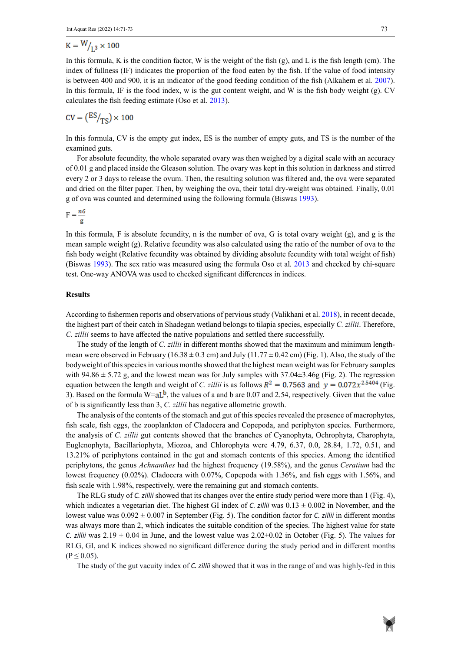$$
K = W/_{1,3} \times 100
$$

In this formula, K is the condition factor, W is the weight of the fish  $(g)$ , and L is the fish length (cm). The index of fullness (IF) indicates the proportion of the food eaten by the fish. If the value of food intensity is between 400 and 900, it is an indicator of the good feeding condition of the fish (Alkahem et al*.* 2007). In this formula, IF is the food index, w is the gut content weight, and W is the fish body weight (g). CV calculates the fish feeding estimate (Oso et al. 2013).

$$
CV = \left(\frac{ES}{TS}\right) \times 100
$$

In this formula, CV is the empty gut index, ES is the number of empty guts, and TS is the number of the examined guts.

For absolute fecundity, the whole separated ovary was then weighed by a digital scale with an accuracy of 0.01 g and placed inside the Gleason solution. The ovary was kept in this solution in darkness and stirred every 2 or 3 days to release the ovum. Then, the resulting solution was filtered and, the ova were separated and dried on the filter paper. Then, by weighing the ova, their total dry-weight was obtained. Finally, 0.01 g of ova was counted and determined using the following formula (Biswas 1993).

 $F = \frac{nG}{n}$ 

In this formula, F is absolute fecundity, n is the number of ova, G is total ovary weight  $(g)$ , and g is the mean sample weight  $(g)$ . Relative fecundity was also calculated using the ratio of the number of ova to the fish body weight (Relative fecundity was obtained by dividing absolute fecundity with total weight of fish) (Biswas 1993). The sex ratio was measured using the formula Oso et al*.* 2013 and checked by chi-square test. One-way ANOVA was used to checked significant differences in indices.

## **Results**

According to fishermen reports and observations of pervious study [\(Valikhani](https://envs.sbu.ac.ir/?_action=article&au=842455&_au=Hussein++Valikhani&lang=en) et al. 2018), in recent decade, the highest part of their catch in Shadegan wetland belongs to tilapia species, especially *C. zillii*. Therefore, *C. zillii* seems to have affected the native populations and settled there successfully.

The study of the length of *C. zillii* in different months showed that the maximum and minimum lengthmean were observed in February (16.38  $\pm$  0.3 cm) and July (11.77  $\pm$  0.42 cm) (Fig. 1). Also, the study of the bodyweight of this species in various months showed that the highest mean weight was for February samples with  $94.86 \pm 5.72$  g, and the lowest mean was for July samples with  $37.04 \pm 3.46$  (Fig. 2). The regression equation between the length and weight of *C. zillii* is as follows  $R^2 = 0.7563$  and  $y = 0.072x^{2.5404}$  (Fig. 3). Based on the formula  $W= aL^b$ , the values of a and b are 0.07 and 2.54, respectively. Given that the value of b is significantly less than 3, *C. zillii* has negative allometric growth.

The analysis of the contents of the stomach and gut of this species revealed the presence of macrophytes, fish scale, fish eggs, the zooplankton of Cladocera and Copepoda, and periphyton species. Furthermore, the analysis of *C. zillii* gut contents showed that the branches of Cyanophyta, Ochrophyta, Charophyta, Euglenophyta, Bacillariophyta, Miozoa, and Chlorophyta were 4.79, 6.37, 0.0, 28.84, 1.72, 0.51, and 13.21% of periphytons contained in the gut and stomach contents of this species. Among the identified periphytons, the genus *Achnanthes* had the highest frequency (19.58%), and the genus *Ceratium* had the lowest frequency (0.02%). Cladocera with 0.07%, Copepoda with 1.36%, and fish eggs with 1.56%, and fish scale with 1.98%, respectively, were the remaining gut and stomach contents.

The RLG study of *C. zillii* showed that its changes over the entire study period were more than 1 (Fig. 4), which indicates a vegetarian diet. The highest GI index of *C. zillii* was  $0.13 \pm 0.002$  in November, and the lowest value was 0.092 ± 0.007 in September (Fig. 5). The condition factor for *C. zillii* in different months was always more than 2, which indicates the suitable condition of the species. The highest value for state *C. zillii* was  $2.19 \pm 0.04$  in June, and the lowest value was  $2.02 \pm 0.02$  in October (Fig. 5). The values for RLG, GI, and K indices showed no significant difference during the study period and in different months  $(P \le 0.05)$ .

The study of the gut vacuity index of *C. zillii* showed that it was in the range of and was highly-fed in this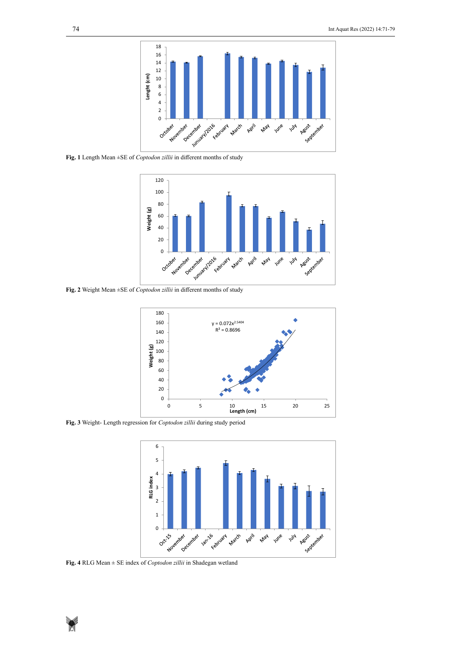

Fig. 1 Length Mean  $\pm$ SE of *Coptodon zillii* in different months of study



Fig. 2 Weight Mean ±SE of *Coptodon zillii* in different months of study



Fig. 3 Weight- Length regression for *Coptodon zillii* during study period



Fig. 4 RLG Mean  $\pm$  SE index of *Coptodon zillii* in Shadegan wetland

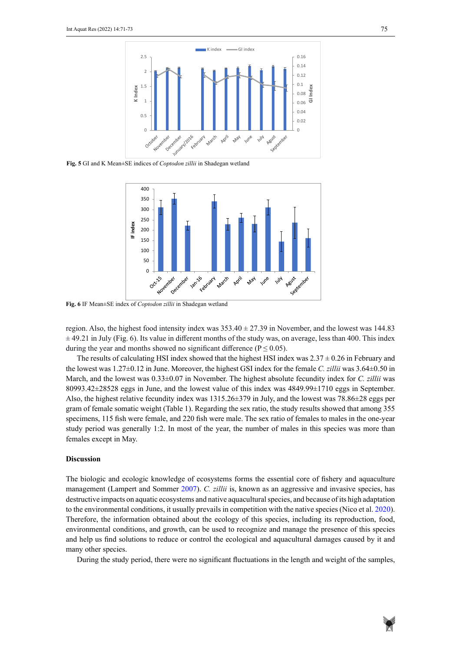

Fig. 5 GI and K Mean±SE indices of *Coptodon zillii* in Shadegan wetland



Figure 6. IF Mean±SE index of *Coptodon zillii* in Shadegan wetland **Fig. 6** IF Mean±SE index of *Coptodon zillii* in Shadegan wetland

region. Also, the highest food intensity index was  $353.40 \pm 27.39$  in November, and the lowest was 144.83  $\pm$  49.21 in July (Fig. 6). Its value in different months of the study was, on average, less than 400. This index during the year and months showed no significant difference ( $P \le 0.05$ ).

The results of calculating HSI index showed that the highest HSI index was  $2.37 \pm 0.26$  in February and the lowest was 1.27±0.12 in June. Moreover, the highest GSI index for the female *C. zillii* was 3.64±0.50 in March, and the lowest was 0.33±0.07 in November. The highest absolute fecundity index for *C. zillii* was 80993.42±28528 eggs in June, and the lowest value of this index was 4849.99±1710 eggs in September. Also, the highest relative fecundity index was  $1315.26\pm379$  in July, and the lowest was  $78.86\pm28$  eggs per gram of female somatic weight (Table 1). Regarding the sex ratio, the study results showed that among 355 specimens, 115 fish were female, and 220 fish were male. The sex ratio of females to males in the one-year study period was generally 1:2. In most of the year, the number of males in this species was more than females except in May.

## **Discussion**

The biologic and ecologic knowledge of ecosystems forms the essential core of fishery and aquaculture management (Lampert and Sommer 2007). *C. zillii* is, known as an aggressive and invasive species, has destructive impacts on aquatic ecosystems and native aquacultural species, and because of its high adaptation to the environmental conditions, it usually prevails in competition with the native species (Nico et al. 2020). Therefore, the information obtained about the ecology of this species, including its reproduction, food, environmental conditions, and growth, can be used to recognize and manage the presence of this species and help us find solutions to reduce or control the ecological and aquacultural damages caused by it and many other species.

During the study period, there were no significant fluctuations in the length and weight of the samples,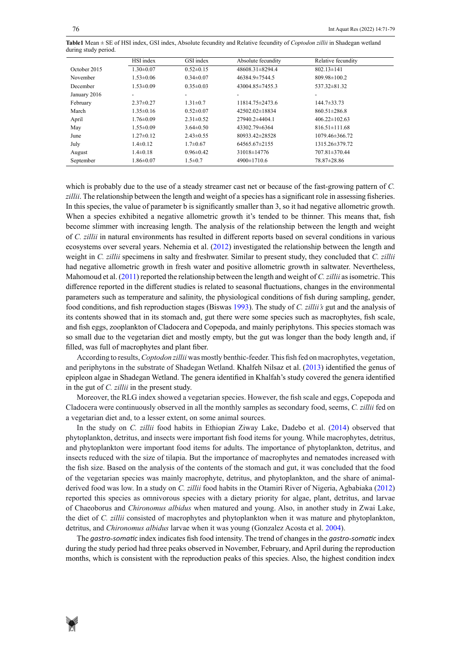**Table1** Mean ± SE of HSI index, GSI index, Absolute fecundity and Relative fecundity of *Coptodon zillii* in Shadegan wetland during study period during study period.

|              | HSI index                | GSI index       | Absolute fecundity   | Relative fecundity   |  |
|--------------|--------------------------|-----------------|----------------------|----------------------|--|
| October 2015 | $1.30 \pm 0.07$          | $0.52 \pm 0.15$ | 48608.31±8294.4      | $802.13 \pm 141$     |  |
| November     | $1.53 \pm 0.06$          | $0.34 \pm 0.07$ | 46384.9±7544.5       | 809.98±100.2         |  |
| December     | $1.53 \pm 0.09$          | $0.35 \pm 0.03$ | 43004.85±7455.3      | 537.32 ± 81.32       |  |
| January 2016 | $\overline{\phantom{a}}$ |                 |                      |                      |  |
| February     | $2.37 \pm 0.27$          | $1.31 \pm 0.7$  | 11814.75 ± 2473.6    | $144.7 \pm 33.73$    |  |
| March        | $1.35 \pm 0.16$          | $0.52 \pm 0.07$ | 42502.02±18834       | $860.51 \pm 286.8$   |  |
| April        | $1.76 \pm 0.09$          | $2.31 \pm 0.52$ | $27940.2 \pm 4404.1$ | $406.22 \pm 102.63$  |  |
| May          | $1.55 \pm 0.09$          | $3.64 \pm 0.50$ | 43302.79±6364        | $816.51 \pm 111.68$  |  |
| June         | $1.27 \pm 0.12$          | $2.43 \pm 0.55$ | 80933.42±28528       | $1079.46 \pm 366.72$ |  |
| July         | $1.4\pm 0.12$            | $1.7 \pm 0.67$  | $64565.67 \pm 2155$  | 1315.26±379.72       |  |
| August       | $1.4 \pm 0.18$           | $0.96 \pm 0.42$ | 31018±14776          | 707.81±370.44        |  |
| September    | $1.86 \pm 0.07$          | $1.5 \pm 0.7$   | $4900 \pm 1710.6$    | 78.87±28.86          |  |

which is probably due to the use of a steady streamer cast net or because of the fast-growing pattern of *C. zillii*. The relationship between the length and weight of a species has a significant role in assessing fisheries. In this species, the value of parameter b is significantly smaller than 3, so it had negative allometric growth. When a species exhibited a negative allometric growth it's tended to be thinner. This means that, fish become slimmer with increasing length. The analysis of the relationship between the length and weight of *C. zillii* in natural environments has resulted in different reports based on several conditions in various ecosystems over several years. Nehemia et al. (2012) investigated the relationship between the length and weight in *C. zillii* specimens in salty and freshwater. Similar to present study, they concluded that *C. zillii* had negative allometric growth in fresh water and positive allometric growth in saltwater. Nevertheless, Mahomoud et al. (2011) reported the relationship between the length and weight of *C. zillii* as isometric. This difference reported in the different studies is related to seasonal fluctuations, changes in the environmental parameters such as temperature and salinity, the physiological conditions of fish during sampling, gender, food conditions, and fish reproduction stages (Biswas 1993). The study of *C. zillii's* gut and the analysis of its contents showed that in its stomach and, gut there were some species such as macrophytes, fish scale, and fish eggs, zooplankton of Cladocera and Copepoda, and mainly periphytons. This species stomach was so small due to the vegetarian diet and mostly empty, but the gut was longer than the body length and, if filled, was full of macrophytes and plant fiber.

According to results, *Coptodon zillii* was mostly benthic-feeder. This fish fed on macrophytes, vegetation, and periphytons in the substrate of Shadegan Wetland. Khalfeh Nilsaz et al. (2013) identified the genus of epipleon algae in Shadegan Wetland. The genera identified in Khalfah's study covered the genera identified in the gut of *C. zillii* in the present study.

Moreover, the RLG index showed a vegetarian species. However, the fish scale and eggs, Copepoda and Cladocera were continuously observed in all the monthly samples as secondary food, seems, *C. zillii* fed on a vegetarian diet and, to a lesser extent, on some animal sources.

In the study on *C. zillii* food habits in Ethiopian Ziway Lake, Dadebo et al. (2014) observed that phytoplankton, detritus, and insects were important fish food items for young. While macrophytes, detritus, and phytoplankton were important food items for adults. The importance of phytoplankton, detritus, and insects reduced with the size of tilapia. But the importance of macrophytes and nematodes increased with the fish size. Based on the analysis of the contents of the stomach and gut, it was concluded that the food of the vegetarian species was mainly macrophyte, detritus, and phytoplankton, and the share of animalderived food was low. In a study on *C. zillii* food habits in the Otamiri River of Nigeria, Agbabiaka (2012) reported this species as omnivorous species with a dietary priority for algae, plant, detritus, and larvae of Chaeoborus and *Chironomus albidus* when matured and young. Also, in another study in Zwai Lake, the diet of *C. zillii* consisted of macrophytes and phytoplankton when it was mature and phytoplankton, detritus, and *Chironomus albidus* larvae when it was young (Gonzalez Acosta et al. 2004).

The *gastro-somatic* index indicates fish food intensity. The trend of changes in the *gastro-somatic* index during the study period had three peaks observed in November, February, and April during the reproduction months, which is consistent with the reproduction peaks of this species. Also, the highest condition index

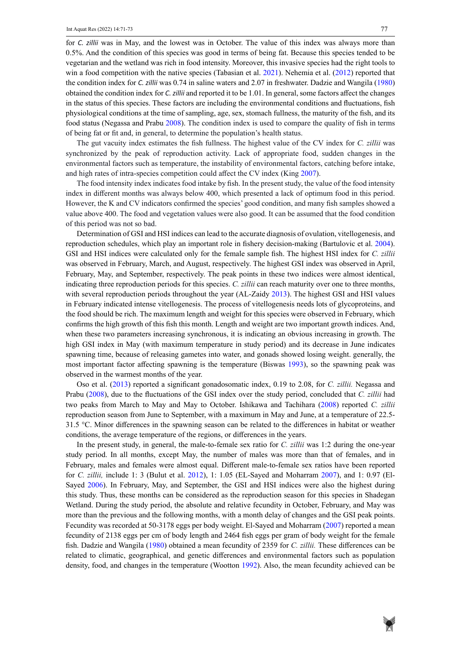for *C. zillii* was in May, and the lowest was in October. The value of this index was always more than 0.5%. And the condition of this species was good in terms of being fat. Because this species tended to be vegetarian and the wetland was rich in food intensity. Moreover, this invasive species had the right tools to win a food competition with the native species (Tabasian et al. 2021). Nehemia et al. (2012) reported that the condition index for *C. zillii* was 0.74 in saline waters and 2.07 in freshwater. Dadzie and Wangila (1980) obtained the condition index for *C. zillii* and reported it to be 1.01. In general, some factors affect the changes in the status of this species. These factors are including the environmental conditions and fluctuations, fish physiological conditions at the time of sampling, age, sex, stomach fullness, the maturity of the fish, and its food status (Negassa and Prabu 2008). The condition index is used to compare the quality of fish in terms of being fat or fit and, in general, to determine the population's health status.

The gut vacuity index estimates the fish fullness. The highest value of the CV index for *C. zillii* was synchronized by the peak of reproduction activity. Lack of appropriate food, sudden changes in the environmental factors such as temperature, the instability of environmental factors, catching before intake, and high rates of intra-species competition could affect the CV index (King 2007).

The food intensity index indicates food intake by fish. In the present study, the value of the food intensity index in different months was always below 400, which presented a lack of optimum food in this period. However, the K and CV indicators confirmed the species' good condition, and many fish samples showed a value above 400. The food and vegetation values were also good. It can be assumed that the food condition of this period was not so bad.

Determination of GSI and HSI indices can lead to the accurate diagnosis of ovulation, vitellogenesis, and reproduction schedules, which play an important role in fishery decision-making (Bartulovic et al. 2004). GSI and HSI indices were calculated only for the female sample fish. The highest HSI index for *C. zillii* was observed in February, March, and August, respectively. The highest GSI index was observed in April, February, May, and September, respectively. The peak points in these two indices were almost identical, indicating three reproduction periods for this species. *C. zillii* can reach maturity over one to three months, with several reproduction periods throughout the year (AL-Zaidy 2013). The highest GSI and HSI values in February indicated intense vitellogenesis. The process of vitellogenesis needs lots of glycoproteins, and the food should be rich. The maximum length and weight for this species were observed in February, which confirms the high growth of this fish this month. Length and weight are two important growth indices. And, when these two parameters increasing synchronous, it is indicating an obvious increasing in growth. The high GSI index in May (with maximum temperature in study period) and its decrease in June indicates spawning time, because of releasing gametes into water, and gonads showed losing weight. generally, the most important factor affecting spawning is the temperature (Biswas 1993), so the spawning peak was observed in the warmest months of the year.

Oso et al. (2013) reported a significant gonadosomatic index, 0.19 to 2.08, for *C. zillii.* Negassa and Prabu (2008), due to the fluctuations of the GSI index over the study period, concluded that *C. zillii* had two peaks from March to May and May to October. Ishikawa and Tachihara (2008) reported *C. zillii* reproduction season from June to September, with a maximum in May and June, at a temperature of 22.5- 31.5 °C. Minor differences in the spawning season can be related to the differences in habitat or weather conditions, the average temperature of the regions, or differences in the years.

In the present study, in general, the male-to-female sex ratio for *C. zillii* was 1:2 during the one-year study period. In all months, except May, the number of males was more than that of females, and in February, males and females were almost equal. Different male-to-female sex ratios have been reported for *C. zillii,* include 1: 3 (Bulut et al. 2012), 1: 1.05 (EL-Sayed and Moharram 2007), and 1: 0.97 (El-Sayed 2006). In February, May, and September, the GSI and HSI indices were also the highest during this study. Thus, these months can be considered as the reproduction season for this species in Shadegan Wetland. During the study period, the absolute and relative fecundity in October, February, and May was more than the previous and the following months, with a month delay of changes and the GSI peak points. Fecundity was recorded at 50-3178 eggs per body weight. El-Sayed and Moharram (2007) reported a mean fecundity of 2138 eggs per cm of body length and 2464 fish eggs per gram of body weight for the female fish. Dadzie and Wangila (1980) obtained a mean fecundity of 2359 for *C. zillii.* These differences can be related to climatic, geographical, and genetic differences and environmental factors such as population density, food, and changes in the temperature (Wootton 1992). Also, the mean fecundity achieved can be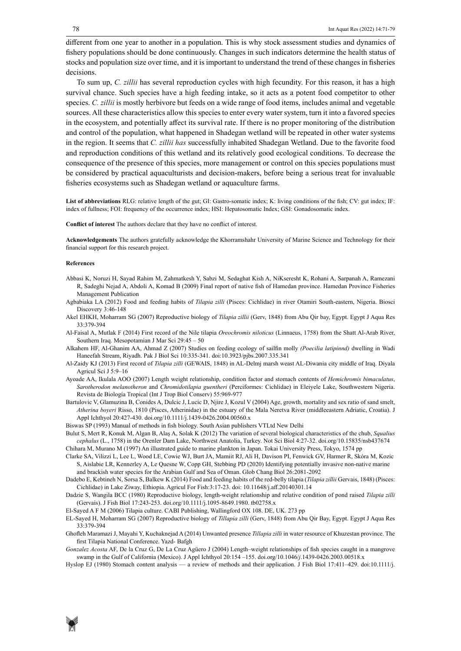different from one year to another in a population. This is why stock assessment studies and dynamics of fishery populations should be done continuously. Changes in such indicators determine the health status of stocks and population size over time, and it is important to understand the trend of these changes in fisheries decisions.

To sum up, *C. zillii* has several reproduction cycles with high fecundity. For this reason, it has a high survival chance. Such species have a high feeding intake, so it acts as a potent food competitor to other species. *C. zillii* is mostly herbivore but feeds on a wide range of food items, includes animal and vegetable sources. All these characteristics allow this species to enter every water system, turn it into a favored species in the ecosystem, and potentially affect its survival rate. If there is no proper monitoring of the distribution and control of the population, what happened in Shadegan wetland will be repeated in other water systems in the region. It seems that *C. zillii has* successfully inhabited Shadegan Wetland. Due to the favorite food and reproduction conditions of this wetland and its relatively good ecological conditions. To decrease the consequence of the presence of this species, more management or control on this species populations must be considered by practical aquaculturists and decision-makers, before being a serious treat for invaluable fisheries ecosystems such as Shadegan wetland or aquaculture farms.

**List of abbreviations** RLG: relative length of the gut; GI: Gastro-somatic index; K: living conditions of the fish; CV: gut index; IF: index of fullness; FOI: frequency of the occurrence index; HSI: Hepatosomatic Index; GSI: Gonadosomatic index.

**Conflict of interest** The authors declare that they have no conflict of interest.

**Acknowledgements** The authors gratefully acknowledge the Khorramshahr University of Marine Science and Technology for their financial support for this research project.

#### **References**

- Abbasi K, Noruzi H, Sayad Rahim M, Zahmatkesh Y, Sabzi M, Sedaghat Kish A, NiKseresht K, Rohani A, Sarpanah A, Ramezani R, Sadeghi Nejad A, Abdoli A, Komad B (2009) Final report of native fish of Hamedan province. Hamedan Province Fisheries Management Publication
- Agbabiaka LA (2012) Food and feeding habits of *Tilapia zilli* (Pisces: Cichlidae) in river Otamiri South-eastern, Nigeria. Biosci Discovery 3:46-148
- Akel EHKH, Moharram SG (2007) Reproductive biology of *Tilapia zillii* (Gerv, 1848) from Abu Qir bay, Egypt. Egypt J Aqua Res 33:379-394
- Al-Faisal A, Mutlak F (2014) First record of the Nile tilapia *Oreochromis niloticus* (Linnaeus, 1758) from the Shatt Al-Arab River, Southern Iraq. Mesopotamian J Mar Sci 29:45 – 50
- Alkahem HF, Al-Ghanim AA, Ahmad Z (2007) Studies on feeding ecology of sailfin molly *(Poecilia latipinnd)* dwelling in Wadi Haneefah Stream, Riyadh. Pak J Biol Sci 10:335-341. doi:10.3923/pjbs.2007.335.341
- Al-Zaidy KJ (2013) First record of *Tilapia zilli* (GEWAIS, 1848) in AL-Delmj marsh weast AL-Diwania city middle of Iraq. Diyala Agricul Sci J 5:9–16
- Ayoade AA, Ikulala AOO (2007) Length weight relationship, condition factor and stomach contents of *Hemichromis bimaculatus*, *Sarotherodon melanotheron* and *Chromidotilapia guentheri* (Perciformes: Cichlidae) in Eleiyele Lake, Southwestern Nigeria. Revista de Biología Tropical (Int J Trop Biol Conserv) 55:969-977
- Bartulovic V, Glamuzina B, Conides A, Dulcic J, Lucic D, Njire J, Kozul V (2004) Age, growth, mortality and sex ratio of sand smelt, *Atherina boyeri* Risso, 1810 (Pisces, Atherinidae) in the estuary of the Mala Neretva River (middleeastern Adriatic, Croatia). J Appl Ichthyol 20:427-430. [doi.org/10.1111/j.1439-0426.2004.00560.x](https://doi.org/10.1111/j.1439-0426.2004.00560.x)
- Biswas SP (1993) Manual of methods in fish biology. South Asian publishers VTLtd New Delhi
- Bulut S, Mert R, Konuk M, Algan B, Alaş A, Solak K (2012) The variation of several biological characteristics of the chub, *Squalius cephalus* (L., 1758) in the Orenler Dam Lake, Northwest Anatolia, Turkey. [Not Sci Biol](https://www.notulaebiologicae.ro/) 4:27-32. doi.org/10.15835/nsb437674 Chihara M, Murano M (1997) An illustrated guide to marine plankton in Japan. Tokai University Press, Tokyo, 1574 pp
- Clarke SA, Vilizzi L, Lee L, Wood LE, Cowie WJ, Burt JA, Mamiit RJ, Ali H, Davison PI, Fenwick GV, Harmer R, Skóra M, Kozic
- S, Aislabie LR, Kennerley A, Le Quesne W, Copp GH, Stebbing PD (2020) Identifying potentially invasive non-native marine and brackish water species for the Arabian Gulf and Sea of Oman. Glob Chang Biol 26:2081-2092
- Dadebo E, Kebtineh N, Sorsa S, Balkew K (2014) Food and feeding habits of the red-belly tilapia (*Tilapia zillii* Gervais, 1848) (Pisces: Cichlidae) in Lake Ziway, Ethiopia. Agricul For Fish:3:17-23. doi: 10.11648/j.aff.20140301.14
- Dadzie S, Wangila BCC (1980) Reproductive biology, length-weight relationship and relative condition of pond raised *Tilapia zilli* (Gervais). J Fish Biol 17:243-253. doi.org/10.1111/j.1095-8649.1980. tb02758.x

El-Sayed A F M (2006) Tilapia culture. CABI Publishing, Wallingford OX 108. DE, UK. 273 pp

- EL-Sayed H, Moharram SG (2007) Reproductive biology of *Tillapia zilli* (Gerv, 1848) from Abu Qir Bay, Egypt. Egypt J Aqua Res 33:379-394
- Ghofleh Maramazi J, Mayahi Y, Kuchaknejad A (2014) Unwanted presence *Tillapia zilli* in water resource of Khuzestan province. The first Tilapia National Conference. Yazd- Bafgh
- *Gonzalez Acosta* AF, De la Cruz G, De La Cruz Agüero J (2004) Length–weight relationships of fish species caught in a mangrove swamp in the Gulf of California (Mexico). J Appl Ichthyol 20:154 –155. doi.org/10.1046/*j*.1439-0426.2003.00518.x
- Hyslop EJ (1980) Stomach content analysis a review of methods and their application. J Fish Biol 17:411–429. doi:10.1111/j.